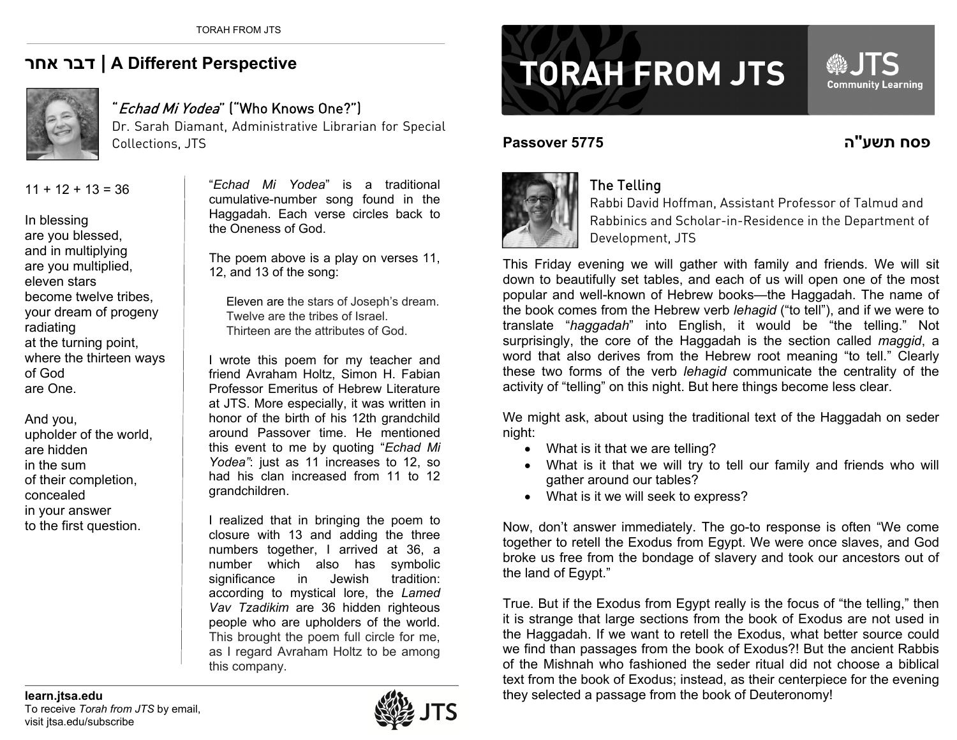## **אחר דבר | A Different Perspective**



## *' Echad Mi Yodea*" ("Who Knows One?")

Dr. Sarah Diamant, Administrative Librarian for Special Collections, JTS

 $11 + 12 + 13 = 36$ 

In blessing are you blessed, and in multiplying are you multiplied, eleven stars become twelve tribes, your dream of progeny radiating at the turning point, where the thirteen ways of God are One.

And you, upholder of the world, are hidden in the sum of their completion, concealed in your answer to the first question.

"*Echad Mi Yodea*" is a traditional cumulative-number song found in the Haggadah. Each verse circles back to the Oneness of God.

The poem above is a play on verses 11, 12, and 13 of the song:

Eleven are the stars of Joseph's dream. Twelve are the tribes of Israel. Thirteen are the attributes of God.

I wrote this poem for my teacher and friend Avraham Holtz, Simon H. Fabian Professor Emeritus of Hebrew Literature at JTS. More especially, it was written in honor of the birth of his 12th grandchild around Passover time. He mentioned this event to me by quoting "*Echad Mi Yodea"*: just as 11 increases to 12, so had his clan increased from 11 to 12 grandchildren.

I realized that in bringing the poem to closure with 13 and adding the three numbers together, I arrived at 36, a number which also has symbolic significance in Jewish tradition: according to mystical lore, the *Lamed Vav Tzadikim* are 36 hidden righteous people who are upholders of the world. This brought the poem full circle for me, as I regard Avraham Holtz to be among this company.

# **TORAH FROM JTS**

#### **Passover 5775**



### The Telling

Rabbi David Hoffman, Assistant Professor of Talmud and Rabbinics and Scholar-in-Residence in the Department of Development, JTS

This Friday evening we will gather with family and friends. We will sit down to beautifully set tables, and each of us will open one of the most popular and well-known of Hebrew books—the Haggadah. The name of the book comes from the Hebrew verb *lehagid* ("to tell"), and if we were to translate "*haggadah*" into English, it would be "the telling." Not surprisingly, the core of the Haggadah is the section called *maggid*, <sup>a</sup> word that also derives from the Hebrew root meaning "to tell." Clearly these two forms of the verb *lehagid* communicate the centrality of the activity of "telling" on this night. But here things become less clear.

We might ask, about using the traditional text of the Haggadah on seder night:

- What is it that we are telling?
- What is it that we will try to tell our family and friends who will gather around our tables?
- What is it we will seek to express?

Now, don't answer immediately. The go-to response is often "We come together to retell the Exodus from Egypt. We were once slaves, and God broke us free from the bondage of slavery and took our ancestors out of the land of Egypt."

True. But if the Exodus from Egypt really is the focus of "the telling," then it is strange that large sections from the book of Exodus are not used in the Haggadah. If we want to retell the Exodus, what better source could we find than passages from the book of Exodus?! But the ancient Rabbis of the Mishnah who fashioned the seder ritual did not choose a biblical text from the book of Exodus; instead, as their centerpiece for the evening **learn.jtsa.edu** they selected a passage from the book of Deuteronomy!



**@JTS** 

Community Learning